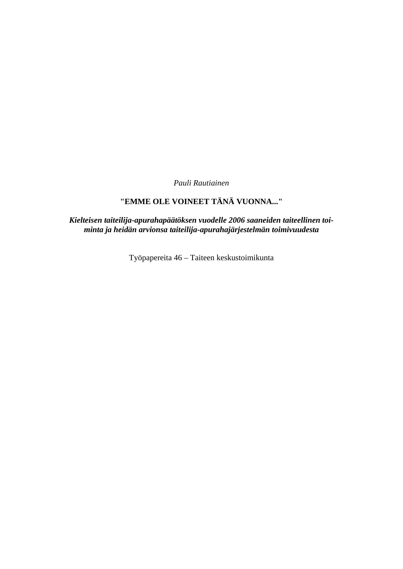*Pauli Rautiainen* 

# **"EMME OLE VOINEET TÄNÄ VUONNA..."**

*Kielteisen taiteilija-apurahapäätöksen vuodelle 2006 saaneiden taiteellinen toiminta ja heidän arvionsa taiteilija-apurahajärjestelmän toimivuudesta* 

Työpapereita 46 – Taiteen keskustoimikunta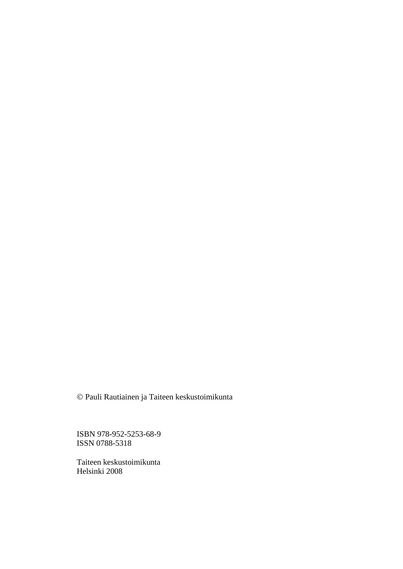© Pauli Rautiainen ja Taiteen keskustoimikunta

ISBN 978-952-5253-68-9 ISSN 0788-5318

Taiteen keskustoimikunta Helsinki 2008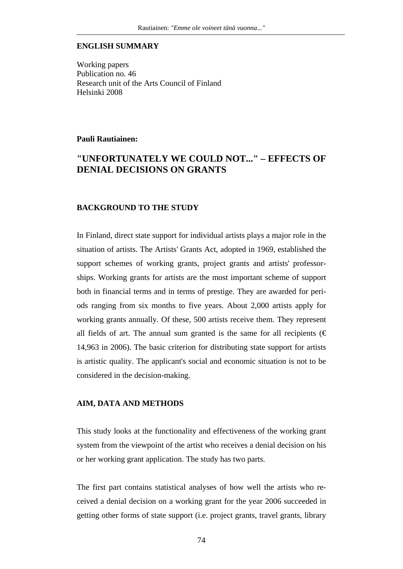### **ENGLISH SUMMARY**

Working papers Publication no. 46 Research unit of the Arts Council of Finland Helsinki 2008

### **Pauli Rautiainen:**

## **"UNFORTUNATELY WE COULD NOT..." – EFFECTS OF DENIAL DECISIONS ON GRANTS**

### **BACKGROUND TO THE STUDY**

In Finland, direct state support for individual artists plays a major role in the situation of artists. The Artists' Grants Act, adopted in 1969, established the support schemes of working grants, project grants and artists' professorships. Working grants for artists are the most important scheme of support both in financial terms and in terms of prestige. They are awarded for periods ranging from six months to five years. About 2,000 artists apply for working grants annually. Of these, 500 artists receive them. They represent all fields of art. The annual sum granted is the same for all recipients ( $\epsilon$ ) 14,963 in 2006). The basic criterion for distributing state support for artists is artistic quality. The applicant's social and economic situation is not to be considered in the decision-making.

### **AIM, DATA AND METHODS**

This study looks at the functionality and effectiveness of the working grant system from the viewpoint of the artist who receives a denial decision on his or her working grant application. The study has two parts.

The first part contains statistical analyses of how well the artists who received a denial decision on a working grant for the year 2006 succeeded in getting other forms of state support (i.e. project grants, travel grants, library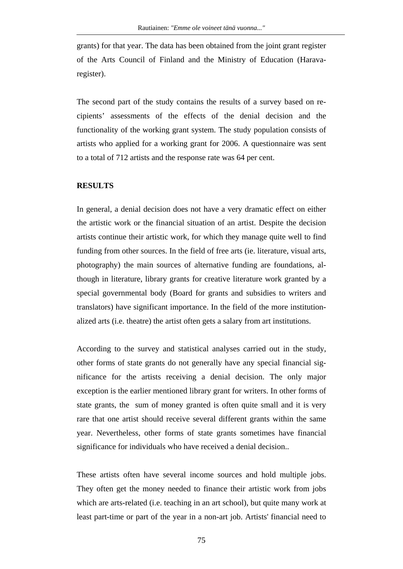grants) for that year. The data has been obtained from the joint grant register of the Arts Council of Finland and the Ministry of Education (Haravaregister).

The second part of the study contains the results of a survey based on recipients' assessments of the effects of the denial decision and the functionality of the working grant system. The study population consists of artists who applied for a working grant for 2006. A questionnaire was sent to a total of 712 artists and the response rate was 64 per cent.

### **RESULTS**

In general, a denial decision does not have a very dramatic effect on either the artistic work or the financial situation of an artist. Despite the decision artists continue their artistic work, for which they manage quite well to find funding from other sources. In the field of free arts (ie. literature, visual arts, photography) the main sources of alternative funding are foundations, although in literature, library grants for creative literature work granted by a special governmental body (Board for grants and subsidies to writers and translators) have significant importance. In the field of the more institutionalized arts (i.e. theatre) the artist often gets a salary from art institutions.

According to the survey and statistical analyses carried out in the study, other forms of state grants do not generally have any special financial significance for the artists receiving a denial decision. The only major exception is the earlier mentioned library grant for writers. In other forms of state grants, the sum of money granted is often quite small and it is very rare that one artist should receive several different grants within the same year. Nevertheless, other forms of state grants sometimes have financial significance for individuals who have received a denial decision..

These artists often have several income sources and hold multiple jobs. They often get the money needed to finance their artistic work from jobs which are arts-related (i.e. teaching in an art school), but quite many work at least part-time or part of the year in a non-art job. Artists' financial need to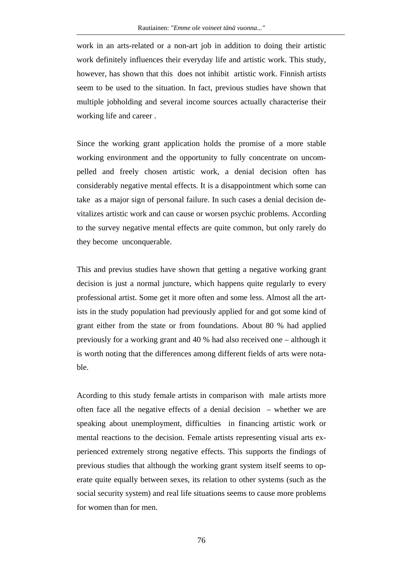work in an arts-related or a non-art job in addition to doing their artistic work definitely influences their everyday life and artistic work. This study, however, has shown that this does not inhibit artistic work. Finnish artists seem to be used to the situation. In fact, previous studies have shown that multiple jobholding and several income sources actually characterise their working life and career .

Since the working grant application holds the promise of a more stable working environment and the opportunity to fully concentrate on uncompelled and freely chosen artistic work, a denial decision often has considerably negative mental effects. It is a disappointment which some can take as a major sign of personal failure. In such cases a denial decision devitalizes artistic work and can cause or worsen psychic problems. According to the survey negative mental effects are quite common, but only rarely do they become unconquerable.

This and previus studies have shown that getting a negative working grant decision is just a normal juncture, which happens quite regularly to every professional artist. Some get it more often and some less. Almost all the artists in the study population had previously applied for and got some kind of grant either from the state or from foundations. About 80 % had applied previously for a working grant and 40 % had also received one – although it is worth noting that the differences among different fields of arts were notable.

Acording to this study female artists in comparison with male artists more often face all the negative effects of a denial decision – whether we are speaking about unemployment, difficulties in financing artistic work or mental reactions to the decision. Female artists representing visual arts experienced extremely strong negative effects. This supports the findings of previous studies that although the working grant system itself seems to operate quite equally between sexes, its relation to other systems (such as the social security system) and real life situations seems to cause more problems for women than for men.